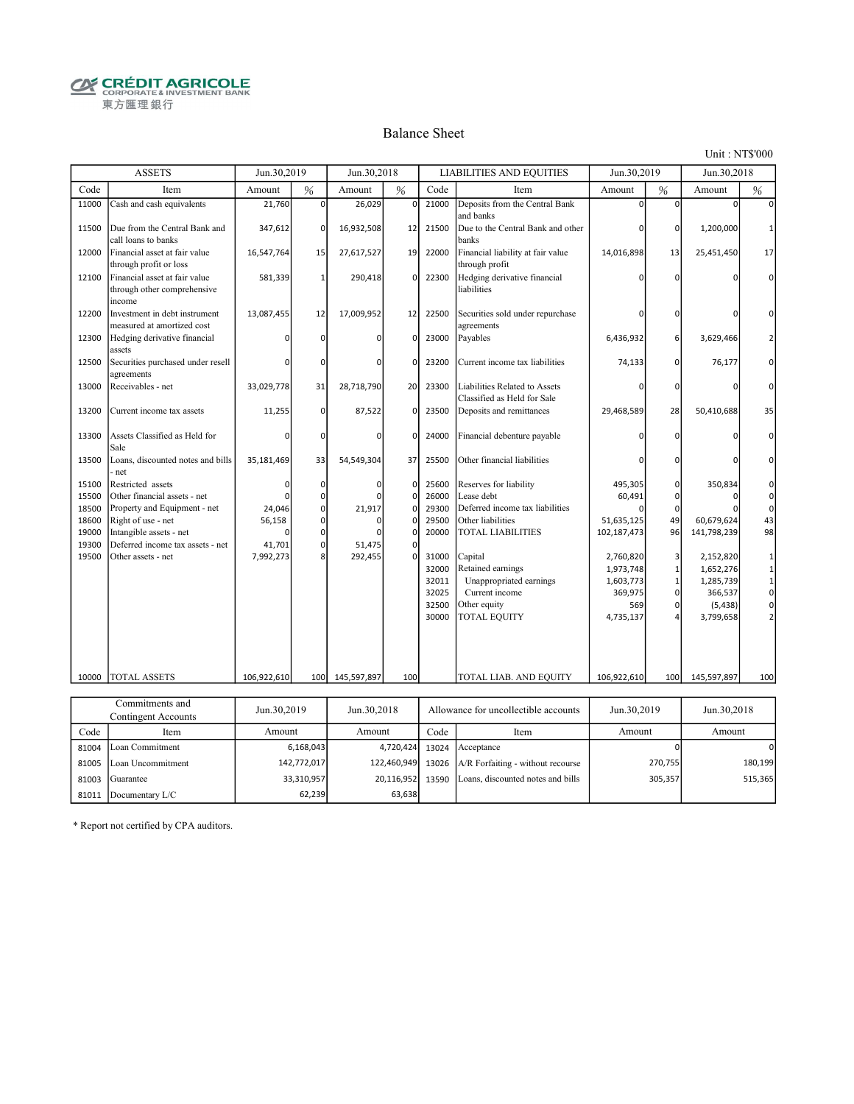**CRÉDIT AGRICOLE** 東方匯理銀行

#### Balance Sheet

Unit : NT\$'000

|                | <b>ASSETS</b>                                                          | Jun.30,2019              |              | Jun.30,2018              |                  |                | <b>LIABILITIES AND EQUITIES</b>                              | Jun.30,2019              |                         | Jun.30,2018              |                  |
|----------------|------------------------------------------------------------------------|--------------------------|--------------|--------------------------|------------------|----------------|--------------------------------------------------------------|--------------------------|-------------------------|--------------------------|------------------|
| Code           | Item                                                                   | Amount                   | %            | Amount                   | $\frac{9}{6}$    | Code           | Item                                                         | Amount                   | %                       | Amount                   | %                |
| 11000          | Cash and cash equivalents                                              | 21,760                   | $\Omega$     | 26,029                   | $\mathbf 0$      | 21000          | Deposits from the Central Bank<br>and banks                  | $\Omega$                 | $\Omega$                | $\Omega$                 | U                |
| 11500          | Due from the Central Bank and<br>call loans to banks                   | 347,612                  | $\Omega$     | 16,932,508               | 12               | 21500          | Due to the Central Bank and other<br>banks                   | ŋ                        | οl                      | 1,200,000                | ำ                |
| 12000          | Financial asset at fair value<br>through profit or loss                | 16,547,764               | 15           | 27,617,527               | 19               | 22000          | Financial liability at fair value<br>through profit          | 14,016,898               | 13                      | 25,451,450               | 17               |
| 12100          | Financial asset at fair value<br>through other comprehensive<br>income | 581,339                  | $\mathbf{1}$ | 290,418                  | $\mathbf 0$      | 22300          | Hedging derivative financial<br>liabilities                  | n                        | 0                       |                          | $\Omega$         |
| 12200          | Investment in debt instrument<br>measured at amortized cost            | 13,087,455               | 12           | 17,009,952               | 12               | 22500          | Securities sold under repurchase<br>agreements               | O                        | 0                       | ŋ                        | O                |
| 12300          | Hedging derivative financial<br>assets                                 | n                        | $\Omega$     | n                        | 0                | 23000          | Payables                                                     | 6,436,932                | $6 \,$                  | 3,629,466                | $\overline{2}$   |
| 12500          | Securities purchased under resell<br>agreements                        |                          | $\Omega$     | n                        | 0                | 23200          | Current income tax liabilities                               | 74,133                   | $\overline{0}$          | 76,177                   | 0                |
| 13000          | Receivables - net                                                      | 33,029,778               | 31           | 28,718,790               | 20               | 23300          | Liabilities Related to Assets<br>Classified as Held for Sale | ŋ                        | $\mathbf{0}$            | ŋ                        | $\Omega$         |
| 13200          | Current income tax assets                                              | 11,255                   | $\Omega$     | 87,522                   | 0                | 23500          | Deposits and remittances                                     | 29,468,589               | 28                      | 50,410,688               | 35               |
| 13300          | Assets Classified as Held for<br>Sale                                  | ŋ                        | $\Omega$     | O                        | 0                | 24000          | Financial debenture payable                                  |                          | 0                       |                          | $\Omega$         |
| 13500          | Loans, discounted notes and bills<br>net                               | 35,181,469               | 33           | 54,549,304               | 37               | 25500          | Other financial liabilities                                  |                          | 0                       |                          | n                |
| 15100<br>15500 | Restricted assets<br>Other financial assets - net                      | 0                        | 0            | $\mathbf 0$<br>$\Omega$  | $\mathbf 0$<br>0 | 25600<br>26000 | Reserves for liability<br>Lease debt                         | 495,305                  | οI<br>$\overline{0}$    | 350,834<br>$\Omega$      | 0<br>$\mathbf 0$ |
| 18500          | Property and Equipment - net                                           | 24,046                   | 0<br>ΩI      | 21,917                   | 0                | 29300          | Deferred income tax liabilities                              | 60,491                   | $\Omega$                |                          | $\mathbf{0}$     |
| 18600          | Right of use - net                                                     | 56,158                   | $\mathbf{0}$ | n                        | 0                | 29500          | Other liabilities                                            | 51,635,125               | 49                      | 60,679,624               | 43               |
| 19000          | Intangible assets - net                                                |                          | 0            |                          | O                | 20000          | <b>TOTAL LIABILITIES</b>                                     | 102,187,473              | 96                      | 141,798,239              | 98               |
| 19300          | Deferred income tax assets - net                                       | 41,701                   | 0            | 51.475                   | 0                |                |                                                              |                          |                         |                          |                  |
| 19500          | Other assets - net                                                     | 7,992,273                | 8            | 292,455                  | $\Omega$         | 31000          | Capital                                                      | 2,760,820                | $\overline{\mathbf{3}}$ | 2,152,820                | 1                |
|                |                                                                        |                          |              |                          |                  | 32000          | Retained earnings                                            | 1,973,748                | $\mathbf{1}$            | 1,652,276                | $1\,$            |
|                |                                                                        |                          |              |                          |                  | 32011          | Unappropriated earnings                                      | 1,603,773                | $\mathbf{1}$            | 1,285,739                | $\mathbf 1$      |
|                |                                                                        |                          |              |                          |                  | 32025          | Current income                                               | 369,975                  | $\overline{0}$          | 366,537                  | $\circ$          |
|                |                                                                        |                          |              |                          |                  | 32500          | Other equity                                                 | 569                      | οI                      | (5, 438)                 | $\mathsf{0}$     |
|                |                                                                        |                          |              |                          |                  | 30000          | TOTAL EQUITY                                                 | 4,735,137                |                         | 3,799,658                | $\overline{2}$   |
|                |                                                                        |                          |              |                          |                  |                |                                                              |                          |                         |                          |                  |
| 10000          | <b>TOTAL ASSETS</b>                                                    | 106,922,610              | 100          | 145,597,897              | 100              |                | TOTAL LIAB. AND EQUITY                                       | 106,922,610              | 100                     | 145,597,897              | 100              |
|                |                                                                        |                          |              |                          |                  |                |                                                              |                          |                         |                          |                  |
|                | Commitments and                                                        | $T_{\text{max}}$ 20.2010 |              | $L_{\text{max}}$ 20.2019 |                  |                |                                                              | $T_{\text{max}}$ 20.2010 |                         | $T_{\text{max}}$ 20.2019 |                  |

|       | Commitments and<br>Contingent Accounts | Jun.30,2019 | Jun.30.2018 | Allowance for uncollectible accounts |                                                       | Jun.30,2019 | Jun.30,2018 |
|-------|----------------------------------------|-------------|-------------|--------------------------------------|-------------------------------------------------------|-------------|-------------|
| Code  | Item                                   | Amount      | Amount      | Code                                 | Item                                                  | Amount      | Amount      |
|       | 81004 Loan Commitment                  | 6,168,043   | 4.720.424   | 13024                                | Acceptance                                            |             | 0           |
|       | 81005 Loan Uncommitment                | 142,772,017 |             |                                      | 122,460,949 13026 $A/R$ Forfaiting - without recourse | 270,755     | 180.199     |
| 81003 | Guarantee                              | 33,310,957  | 20,116,952  | 13590                                | Loans, discounted notes and bills                     | 305,357     | 515,365     |
|       | 81011 Documentary L/C                  | 62,239      | 63,638      |                                      |                                                       |             |             |

\* Report not certified by CPA auditors.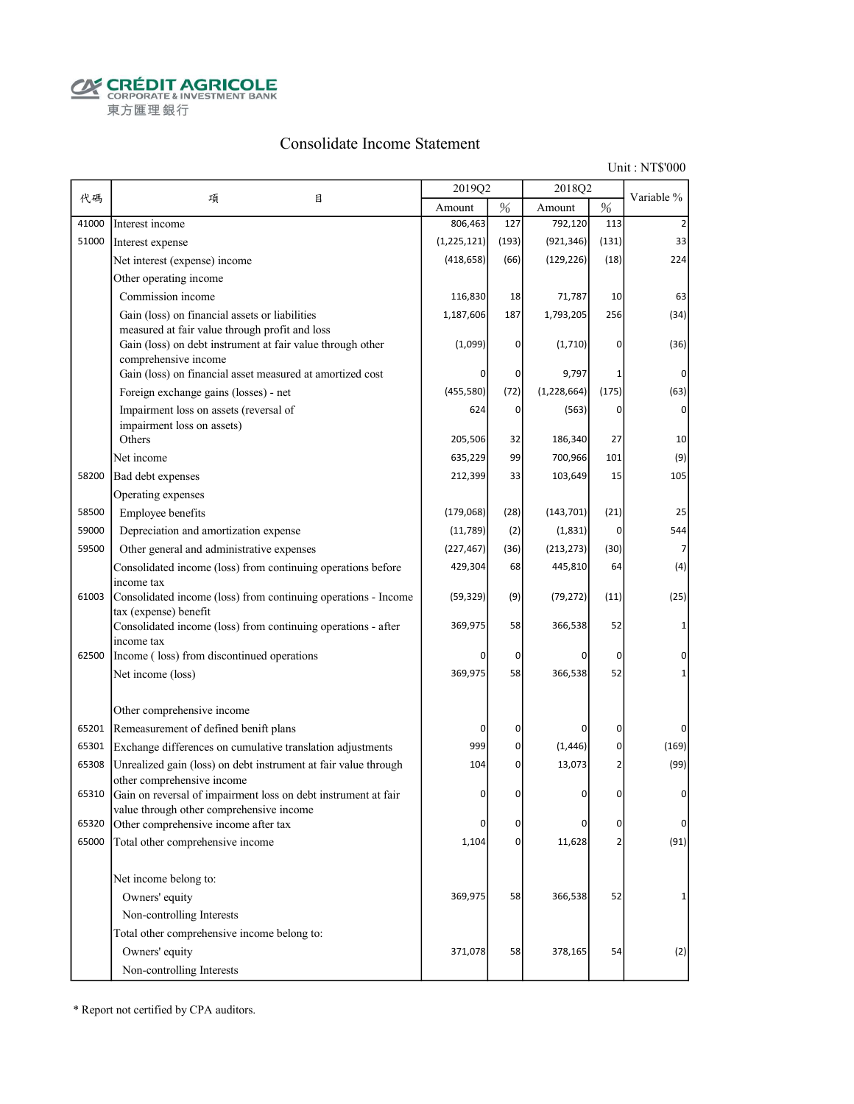**CRÉDIT AGRICOLE** 東方匯理銀行

#### Consolidate Income Statement

Unit : NT\$'000

|       |                                                                                                              | 2019Q2      |          | 2018Q2        |                |            |
|-------|--------------------------------------------------------------------------------------------------------------|-------------|----------|---------------|----------------|------------|
| 代碼    | 項<br>目                                                                                                       | Amount      | $\%$     | Amount        | $\%$           | Variable % |
| 41000 | Interest income                                                                                              | 806,463     | 127      | 792,120       | 113            |            |
| 51000 | Interest expense                                                                                             | (1,225,121) | (193)    | (921, 346)    | (131)          | 33         |
|       | Net interest (expense) income                                                                                | (418, 658)  | (66)     | (129, 226)    | (18)           | 224        |
|       | Other operating income                                                                                       |             |          |               |                |            |
|       | Commission income                                                                                            | 116,830     | 18       | 71,787        | 10             | 63         |
|       | Gain (loss) on financial assets or liabilities                                                               | 1,187,606   | 187      | 1,793,205     | 256            | (34)       |
|       | measured at fair value through profit and loss<br>Gain (loss) on debt instrument at fair value through other | (1,099)     | 0        | (1,710)       | 0              | (36)       |
|       | comprehensive income<br>Gain (loss) on financial asset measured at amortized cost                            |             | 0        | 9,797         | 1              | 0          |
|       | Foreign exchange gains (losses) - net                                                                        | (455, 580)  | (72)     | (1, 228, 664) | (175)          | (63)       |
|       |                                                                                                              | 624         | 0        |               | 0              | $\Omega$   |
|       | Impairment loss on assets (reversal of<br>impairment loss on assets)                                         |             |          | (563)         |                |            |
|       | Others                                                                                                       | 205,506     | 32       | 186,340       | 27             | 10         |
|       | Net income                                                                                                   | 635,229     | 99       | 700,966       | 101            | (9)        |
| 58200 | Bad debt expenses                                                                                            | 212,399     | 33       | 103,649       | 15             | 105        |
|       | Operating expenses                                                                                           |             |          |               |                |            |
| 58500 | Employee benefits                                                                                            | (179,068)   | (28)     | (143, 701)    | (21)           | 25         |
| 59000 | Depreciation and amortization expense                                                                        | (11, 789)   | (2)      | (1,831)       | 0              | 544        |
| 59500 | Other general and administrative expenses                                                                    | (227, 467)  | (36)     | (213, 273)    | (30)           |            |
|       | Consolidated income (loss) from continuing operations before                                                 | 429,304     | 68       | 445,810       | 64             | (4)        |
| 61003 | income tax<br>Consolidated income (loss) from continuing operations - Income                                 | (59, 329)   | (9)      | (79, 272)     | (11)           | (25)       |
|       | tax (expense) benefit<br>Consolidated income (loss) from continuing operations - after                       | 369,975     | 58       | 366,538       | 52             |            |
| 62500 | income tax<br>Income (loss) from discontinued operations                                                     | 0           | 0        | ŋ             | 0              | 0          |
|       | Net income (loss)                                                                                            | 369,975     | 58       | 366,538       | 52             |            |
|       |                                                                                                              |             |          |               |                |            |
|       | Other comprehensive income                                                                                   |             |          |               |                |            |
| 65201 | Remeasurement of defined benift plans                                                                        | 0           | 0        | 0             | 0              | 0          |
| 65301 | Exchange differences on cumulative translation adjustments                                                   | 999         | 0        | (1, 446)      | 0              | (169)      |
| 65308 | Unrealized gain (loss) on debt instrument at fair value through<br>other comprehensive income                | 104         | 0        | 13,073        | 2              | (99)       |
| 65310 | Gain on reversal of impairment loss on debt instrument at fair<br>value through other comprehensive income   | $\Omega$    | 0        | 0             | 0              | 0          |
| 65320 | Other comprehensive income after tax                                                                         | 0           | 0        | O             | 0              | $\Omega$   |
| 65000 | Total other comprehensive income                                                                             | 1,104       | $\Omega$ | 11,628        | $\overline{2}$ | (91)       |
|       | Net income belong to:                                                                                        |             |          |               |                |            |
|       | Owners' equity                                                                                               | 369,975     | 58       | 366,538       | 52             | 1          |
|       | Non-controlling Interests                                                                                    |             |          |               |                |            |
|       | Total other comprehensive income belong to:                                                                  |             |          |               |                |            |
|       | Owners' equity                                                                                               | 371,078     | 58       | 378,165       | 54             | (2)        |
|       | Non-controlling Interests                                                                                    |             |          |               |                |            |

\* Report not certified by CPA auditors.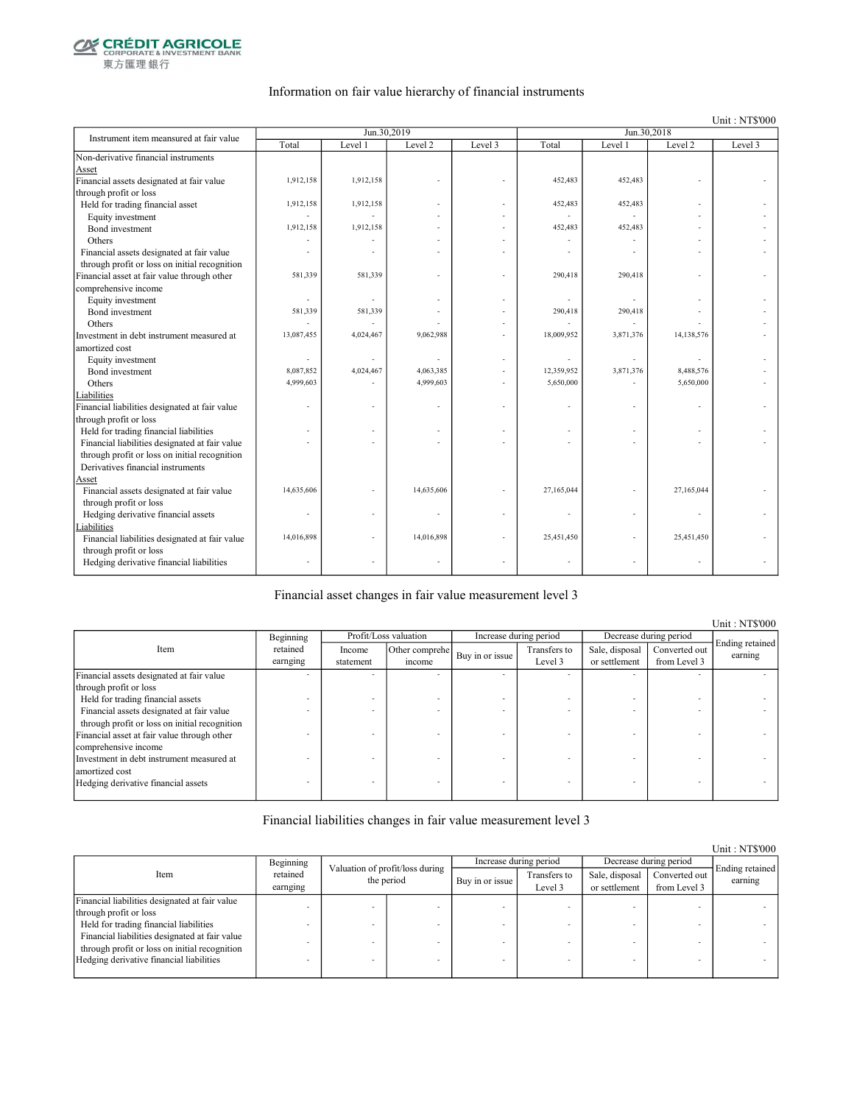

東方匯理銀行

#### Information on fair value hierarchy of financial instruments

Unit : NT\$'000

| Instrument item meansured at fair value        |            | Jun.30,2019 |            |         | Jun.30,2018              |           |            |         |
|------------------------------------------------|------------|-------------|------------|---------|--------------------------|-----------|------------|---------|
|                                                | Total      | Level 1     | Level 2    | Level 3 | Total                    | Level 1   | Level 2    | Level 3 |
| Non-derivative financial instruments           |            |             |            |         |                          |           |            |         |
| Asset                                          |            |             |            |         |                          |           |            |         |
| Financial assets designated at fair value      | 1,912,158  | 1,912,158   |            |         | 452,483                  | 452,483   |            |         |
| through profit or loss                         |            |             |            |         |                          |           |            |         |
| Held for trading financial asset               | 1,912,158  | 1,912,158   |            |         | 452,483                  | 452,483   |            |         |
| Equity investment                              |            |             |            |         |                          |           |            |         |
| Bond investment                                | 1,912,158  | 1,912,158   |            |         | 452,483                  | 452.483   |            |         |
| Others                                         |            |             |            |         |                          |           |            |         |
| Financial assets designated at fair value      |            |             |            |         |                          |           |            |         |
| through profit or loss on initial recognition  |            |             |            |         |                          |           |            |         |
| Financial asset at fair value through other    | 581,339    | 581,339     |            |         | 290,418                  | 290,418   |            |         |
| comprehensive income                           |            |             |            |         |                          |           |            |         |
| Equity investment                              | $\sim$     |             |            |         |                          |           |            |         |
| Bond investment                                | 581,339    | 581,339     |            |         | 290,418                  | 290,418   |            |         |
| Others                                         |            |             |            | ٠       |                          |           |            |         |
| Investment in debt instrument measured at      | 13,087,455 | 4,024,467   | 9,062,988  |         | 18,009,952               | 3,871,376 | 14,138,576 |         |
| amortized cost                                 |            |             |            |         |                          |           |            |         |
| Equity investment                              |            |             |            |         | $\overline{\phantom{a}}$ |           |            |         |
| Bond investment                                | 8,087,852  | 4,024,467   | 4,063,385  |         | 12,359,952               | 3,871,376 | 8,488,576  |         |
| Others                                         | 4,999,603  |             | 4,999,603  |         | 5,650,000                |           | 5,650,000  |         |
| Liabilities                                    |            |             |            |         |                          |           |            |         |
| Financial liabilities designated at fair value |            |             |            |         |                          |           |            |         |
| through profit or loss                         |            |             |            |         |                          |           |            |         |
| Held for trading financial liabilities         |            |             |            |         |                          |           |            |         |
| Financial liabilities designated at fair value |            |             |            |         |                          |           |            |         |
| through profit or loss on initial recognition  |            |             |            |         |                          |           |            |         |
| Derivatives financial instruments              |            |             |            |         |                          |           |            |         |
| Asset                                          |            |             |            |         |                          |           |            |         |
| Financial assets designated at fair value      | 14,635,606 |             | 14,635,606 |         | 27,165,044               |           | 27,165,044 |         |
| through profit or loss                         |            |             |            |         |                          |           |            |         |
| Hedging derivative financial assets            |            |             |            |         |                          |           |            |         |
| Liabilities                                    |            |             |            |         |                          |           |            |         |
| Financial liabilities designated at fair value | 14,016,898 |             | 14,016,898 |         | 25,451,450               |           | 25,451,450 |         |
| through profit or loss                         |            |             |            |         |                          |           |            |         |
| Hedging derivative financial liabilities       |            |             |            |         |                          |           | ÷.         |         |
|                                                |            |             |            |         |                          |           |            |         |

Financial asset changes in fair value measurement level 3

Income statement Other comprehe  $\begin{array}{c|c}\n\text{er complete} \\
\text{if the same line} \\
\text{if the same line} \\
\end{array}$ Level 3 Sale, disposal or settlement Converted out from Level 3 Financial assets designated at fair value through profit or loss - - - - - - - - Held for trading financial assets  $\blacksquare$ <br>Financial assets designated at fair value Financial assets designated at fair value through profit or loss on initial recognition - - - - - - - - Financial asset at fair value through other comprehensive income - - - - - - - - Investment in debt instrument measured at amortized cost - - - - - - - - Hedging derivative financial assets Item Profit/Loss valuation Increase during period Decrease during period Ending retained earning Beginning retained earnging

Financial liabilities changes in fair value measurement level 3

|                                                |                      |                                               |  |                 |                         |                                 |                               | Unit: NT\$000              |
|------------------------------------------------|----------------------|-----------------------------------------------|--|-----------------|-------------------------|---------------------------------|-------------------------------|----------------------------|
|                                                | Beginning            |                                               |  |                 | Increase during period  | Decrease during period          |                               |                            |
| Item                                           | retained<br>earnging | Valuation of profit/loss during<br>the period |  | Buy in or issue | Transfers to<br>Level 3 | Sale, disposal<br>or settlement | Converted out<br>from Level 3 | Ending retained<br>earning |
| Financial liabilities designated at fair value |                      |                                               |  |                 |                         |                                 |                               |                            |
| through profit or loss                         |                      |                                               |  |                 |                         |                                 |                               |                            |
| Held for trading financial liabilities         |                      |                                               |  |                 |                         |                                 |                               |                            |
| Financial liabilities designated at fair value |                      |                                               |  |                 |                         |                                 |                               |                            |
| through profit or loss on initial recognition  |                      |                                               |  |                 |                         |                                 |                               |                            |
| Hedging derivative financial liabilities       |                      |                                               |  |                 |                         |                                 | -                             |                            |
|                                                |                      |                                               |  |                 |                         |                                 |                               |                            |

Unit : NT\$'000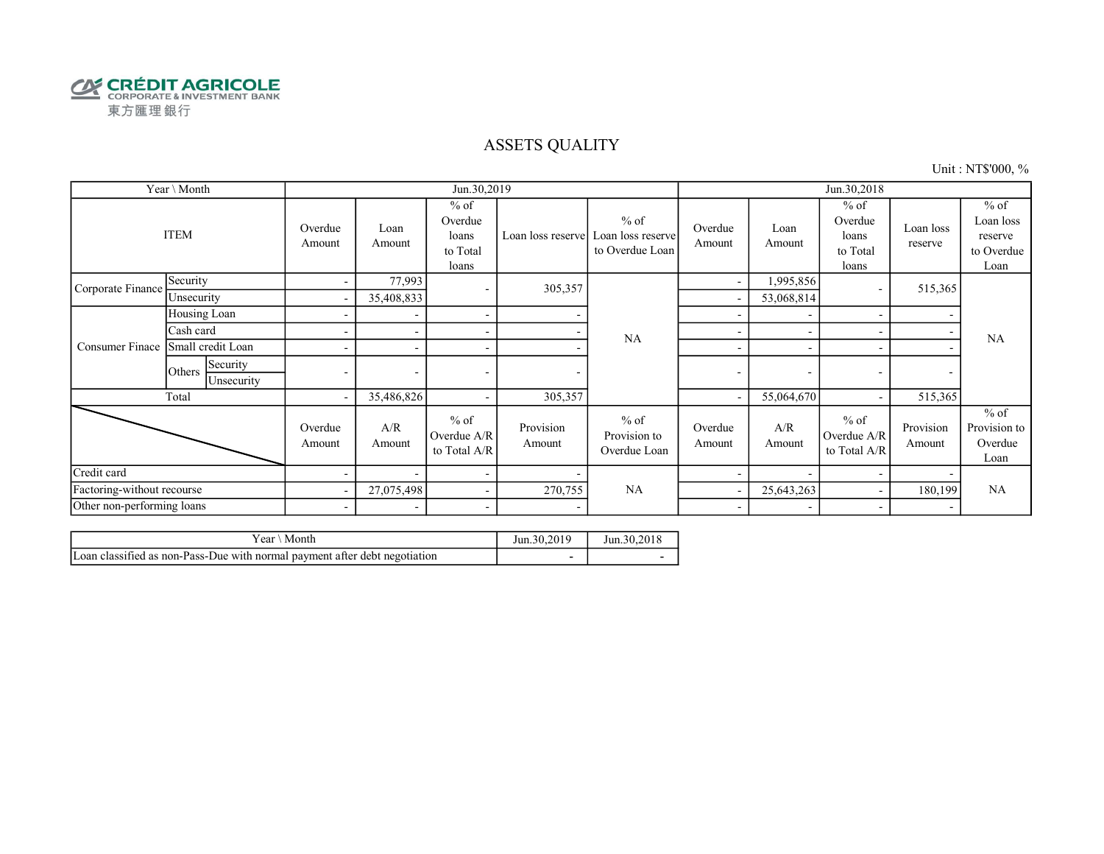

### ASSETS QUALITY

Unit : NT\$'000, %

|                            | Year \ Month                     |                          |                          | Jun.30,2019                                     |                     |                                                | Jun.30,2018              |                          |                                                 |                          |                                                      |
|----------------------------|----------------------------------|--------------------------|--------------------------|-------------------------------------------------|---------------------|------------------------------------------------|--------------------------|--------------------------|-------------------------------------------------|--------------------------|------------------------------------------------------|
| <b>ITEM</b>                |                                  | Overdue<br>Amount        | Loan<br>Amount           | $%$ of<br>Overdue<br>loans<br>to Total<br>loans | Loan loss reserve   | $%$ of<br>Loan loss reserve<br>to Overdue Loan | Overdue<br>Amount        | Loan<br>Amount           | $%$ of<br>Overdue<br>loans<br>to Total<br>loans | Loan loss<br>reserve     | $%$ of<br>Loan loss<br>reserve<br>to Overdue<br>Loan |
| Corporate Finance          | Security                         | $\sim$                   | 77,993                   | $\overline{\phantom{a}}$                        | 305,357             |                                                | $\overline{\phantom{a}}$ | 1,995,856                |                                                 | 515,365                  |                                                      |
|                            | Unsecurity                       | $\overline{\phantom{a}}$ | 35,408,833               |                                                 |                     |                                                |                          | 53,068,814               |                                                 |                          |                                                      |
|                            | Housing Loan                     | ۰                        |                          | $\overline{\phantom{a}}$                        |                     |                                                |                          |                          |                                                 |                          |                                                      |
| Consumer Finace            | Cash card                        |                          |                          | $\overline{\phantom{a}}$                        |                     | <b>NA</b>                                      |                          |                          |                                                 |                          | <b>NA</b>                                            |
|                            | Small credit Loan                |                          | $\overline{\phantom{a}}$ | $\overline{\phantom{a}}$                        |                     | ٠                                              | $\overline{\phantom{a}}$ |                          |                                                 |                          |                                                      |
|                            | Security<br>Others<br>Unsecurity | $\overline{\phantom{0}}$ | $\overline{\phantom{a}}$ | $\overline{\phantom{a}}$                        |                     |                                                |                          | $\overline{\phantom{a}}$ | $\overline{\phantom{a}}$                        | $\overline{\phantom{0}}$ | $\overline{\phantom{a}}$                             |
|                            | Total                            | $\overline{\phantom{a}}$ | 35,486,826               | $\overline{\phantom{a}}$                        | 305,357             |                                                |                          | 55,064,670               |                                                 | 515,365                  |                                                      |
|                            |                                  | Overdue<br>Amount        | A/R<br>Amount            | $%$ of<br>Overdue A/R<br>to Total A/R           | Provision<br>Amount | $%$ of<br>Provision to<br>Overdue Loan         | Overdue<br>Amount        | A/R<br>Amount            | $%$ of<br>Overdue A/R<br>to Total A/R           | Provision<br>Amount      | $%$ of<br>Provision to<br>Overdue<br>Loan            |
| Credit card                |                                  |                          | $\overline{\phantom{0}}$ | $\overline{\phantom{a}}$                        |                     |                                                |                          |                          |                                                 |                          |                                                      |
| Factoring-without recourse |                                  | $\overline{\phantom{a}}$ | 27,075,498               | $\sim$                                          | 270,755             | NA                                             |                          | 25,643,263               |                                                 | 180,199                  | <b>NA</b>                                            |
| Other non-performing loans |                                  | $\sim$                   |                          | $\overline{\phantom{a}}$                        | ٠                   |                                                | $\overline{\phantom{a}}$ | $\overline{\phantom{a}}$ |                                                 | $\overline{\phantom{a}}$ |                                                      |

| r ear<br>Month                                                                    | Jun.30.2019 | 30.2018<br>Jun. |
|-----------------------------------------------------------------------------------|-------------|-----------------|
| . .<br>Loan classified as non-Pass-Due with normal payment after debt negotiation |             |                 |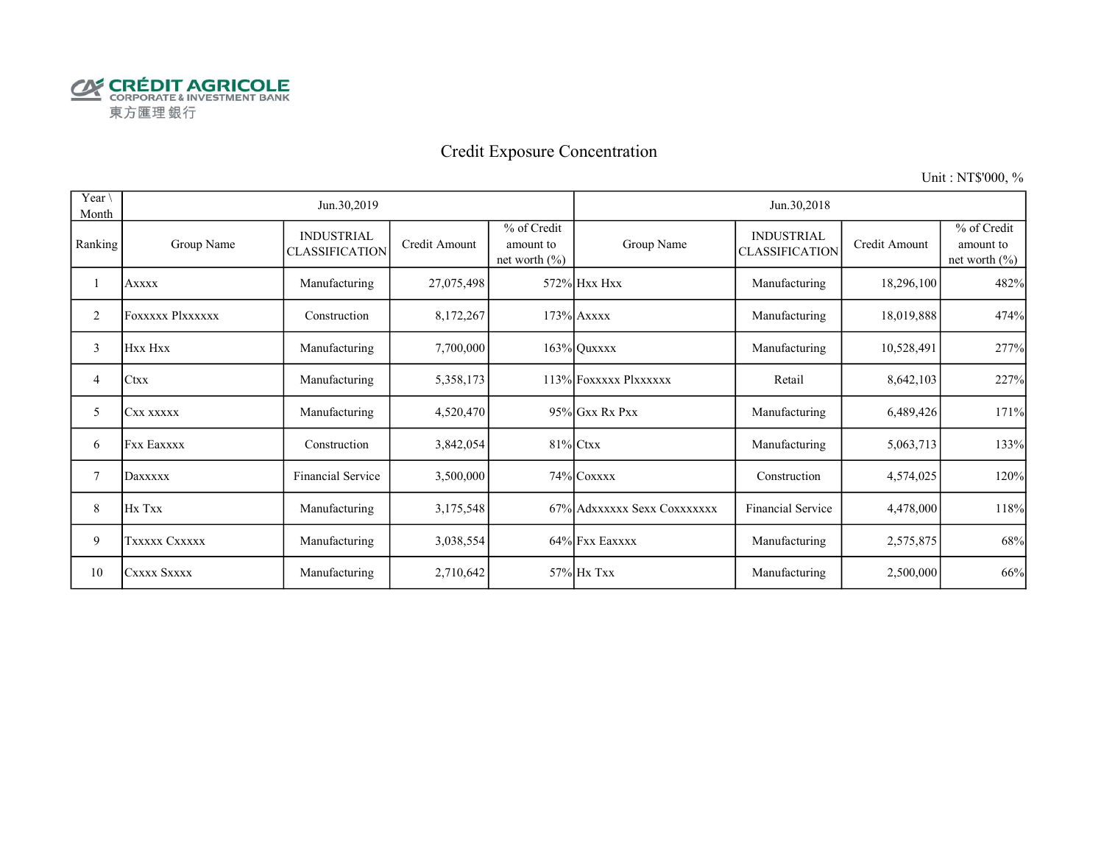

# Credit Exposure Concentration

Unit : NT\$'000, %

| Year \<br>Month |                         | Jun.30,2019                                |               |                                               | Jun.30,2018                 |                                     |               |                                              |  |  |
|-----------------|-------------------------|--------------------------------------------|---------------|-----------------------------------------------|-----------------------------|-------------------------------------|---------------|----------------------------------------------|--|--|
| Ranking         | Group Name              | <b>INDUSTRIAL</b><br><b>CLASSIFICATION</b> | Credit Amount | % of Credit<br>amount to<br>net worth $(\% )$ | Group Name                  | <b>INDUSTRIAL</b><br>CLASSIFICATION | Credit Amount | % of Credit<br>amount to<br>net worth $(\%)$ |  |  |
|                 | <b>Axxxx</b>            | Manufacturing                              | 27,075,498    |                                               | 572% Hxx Hxx                | Manufacturing                       | 18,296,100    | 482%                                         |  |  |
| 2               | <b>Foxxxxx Plxxxxxx</b> | Construction                               | 8,172,267     |                                               | $173%$ Axxxx                | Manufacturing                       | 18,019,888    | 474%                                         |  |  |
| 3               | Hxx Hxx                 | Manufacturing                              | 7,700,000     |                                               | $163\%$ Quxxxx              | Manufacturing                       | 10,528,491    | 277%                                         |  |  |
| 4               | <b>Ctxx</b>             | Manufacturing                              | 5,358,173     |                                               | 113% FOXXXXX PlXXXXXX       | Retail                              | 8,642,103     | 227%                                         |  |  |
| 5               | CXX XXXXX               | Manufacturing                              | 4,520,470     |                                               | 95% Gxx Rx Pxx              | Manufacturing                       | 6,489,426     | 171%                                         |  |  |
| 6               | <b>Fxx Eaxxxx</b>       | Construction                               | 3,842,054     |                                               | $81\%$ Ctxx                 | Manufacturing                       | 5,063,713     | 133%                                         |  |  |
| 7               | Daxxxxx                 | Financial Service                          | 3,500,000     |                                               | 74% COXXXX                  | Construction                        | 4,574,025     | 120%                                         |  |  |
| 8               | Hx Txx                  | Manufacturing                              | 3,175,548     |                                               | 67% Adxxxxxx Sexx Coxxxxxxx | Financial Service                   | 4,478,000     | 118%                                         |  |  |
| 9               | TXXXXX CXXXXX           | Manufacturing                              | 3,038,554     |                                               | 64% Fxx Eaxxxx              | Manufacturing                       | 2,575,875     | 68%                                          |  |  |
| 10              | CXXXX SXXXX             | Manufacturing                              | 2,710,642     |                                               | 57% Hx Txx                  | Manufacturing                       | 2,500,000     | 66%                                          |  |  |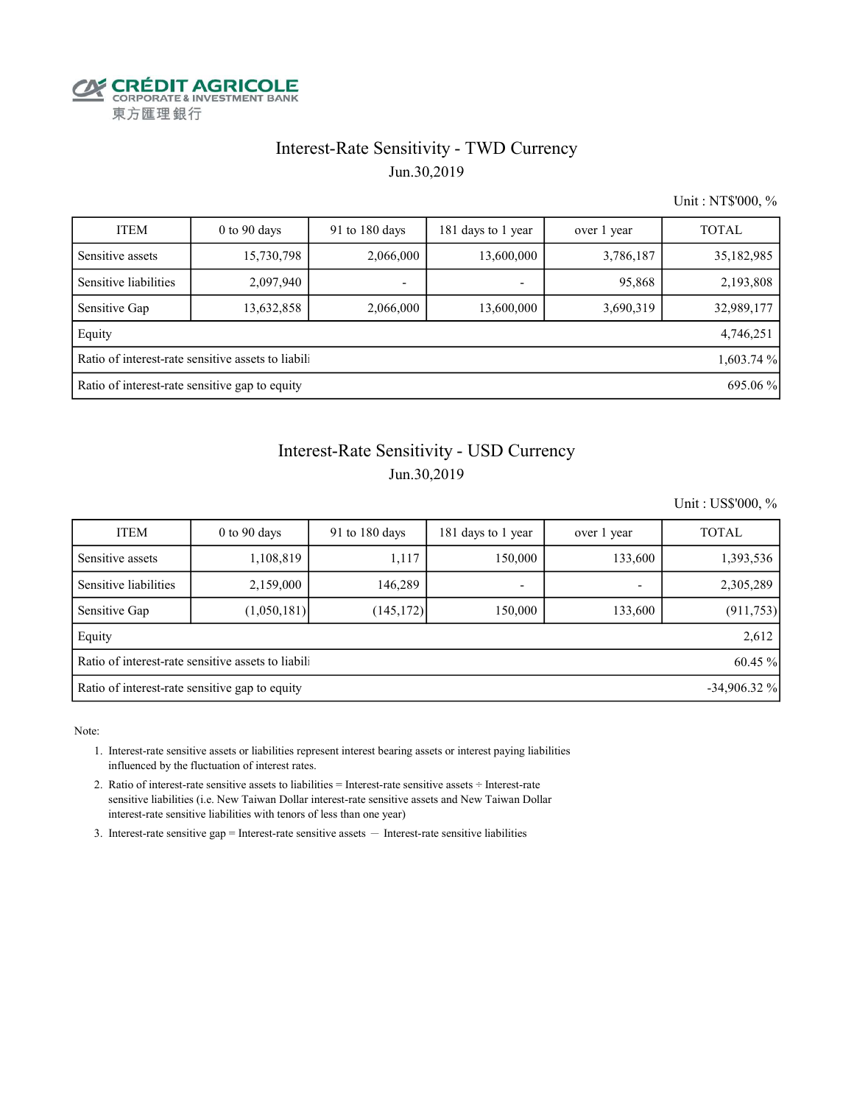

# Interest-Rate Sensitivity - TWD Currency

Jun.30,2019

Unit : NT\$'000, %

| <b>ITEM</b>                                               | $0$ to 90 days                                                   | 91 to 180 days | 181 days to 1 year | over 1 year | <b>TOTAL</b> |  |  |  |  |  |
|-----------------------------------------------------------|------------------------------------------------------------------|----------------|--------------------|-------------|--------------|--|--|--|--|--|
| Sensitive assets                                          | 15,730,798                                                       | 2,066,000      | 13,600,000         | 3,786,187   | 35,182,985   |  |  |  |  |  |
| Sensitive liabilities                                     | 2,097,940                                                        |                | ٠                  | 95,868      | 2,193,808    |  |  |  |  |  |
| Sensitive Gap                                             | 13,632,858                                                       | 2,066,000      | 13,600,000         | 3,690,319   | 32,989,177   |  |  |  |  |  |
| Equity                                                    |                                                                  |                |                    |             | 4,746,251    |  |  |  |  |  |
|                                                           | Ratio of interest-rate sensitive assets to liabili<br>1,603.74 % |                |                    |             |              |  |  |  |  |  |
| Ratio of interest-rate sensitive gap to equity<br>695.06% |                                                                  |                |                    |             |              |  |  |  |  |  |

# Interest-Rate Sensitivity - USD Currency

#### Jun.30,2019

Unit : US\$'000, %

| <b>ITEM</b>                                                      | $0$ to 90 days | 91 to 180 days | 181 days to 1 year | over 1 year | <b>TOTAL</b> |  |  |  |  |
|------------------------------------------------------------------|----------------|----------------|--------------------|-------------|--------------|--|--|--|--|
| Sensitive assets                                                 | 1,108,819      | 1,117          | 150,000            | 133,600     | 1,393,536    |  |  |  |  |
| Sensitive liabilities                                            | 2,159,000      | 146,289        | ٠                  |             | 2,305,289    |  |  |  |  |
| Sensitive Gap                                                    | (1,050,181)    | (145,172)      | 150,000            | 133,600     | (911, 753)   |  |  |  |  |
| Equity                                                           |                |                |                    |             | 2,612        |  |  |  |  |
| Ratio of interest-rate sensitive assets to liabil<br>60.45 %     |                |                |                    |             |              |  |  |  |  |
| $-34,906.32\%$<br>Ratio of interest-rate sensitive gap to equity |                |                |                    |             |              |  |  |  |  |

Note:

 1. Interest-rate sensitive assets or liabilities represent interest bearing assets or interest paying liabilities influenced by the fluctuation of interest rates.

 2. Ratio of interest-rate sensitive assets to liabilities = Interest-rate sensitive assets ÷ Interest-rate sensitive liabilities (i.e. New Taiwan Dollar interest-rate sensitive assets and New Taiwan Dollar interest-rate sensitive liabilities with tenors of less than one year)

3. Interest-rate sensitive gap = Interest-rate sensitive assets  $-$  Interest-rate sensitive liabilities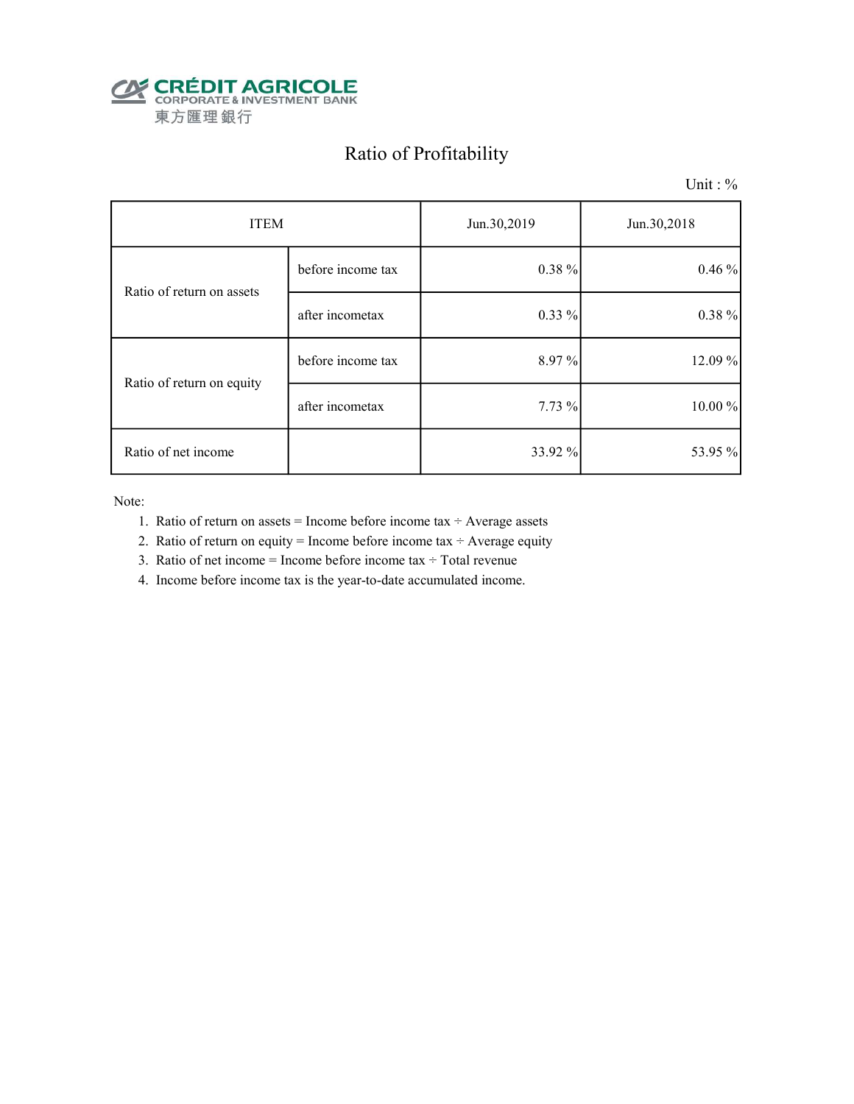

# Ratio of Profitability

Unit : %

| <b>ITEM</b>               |                   | Jun.30,2019 | Jun.30,2018 |  |
|---------------------------|-------------------|-------------|-------------|--|
| Ratio of return on assets | before income tax | 0.38 %      | 0.46%       |  |
|                           | after incometax   | $0.33\%$    | 0.38 %      |  |
| Ratio of return on equity | before income tax | 8.97%       | 12.09 %     |  |
|                           | after incometax   | 7.73 %      | 10.00 %     |  |
| Ratio of net income       |                   | 33.92 %     | 53.95 %     |  |

Note:

- 1. Ratio of return on assets = Income before income tax  $\div$  Average assets
- 2. Ratio of return on equity = Income before income tax  $\div$  Average equity
- 3. Ratio of net income = Income before income tax  $\div$  Total revenue
- 4. Income before income tax is the year-to-date accumulated income.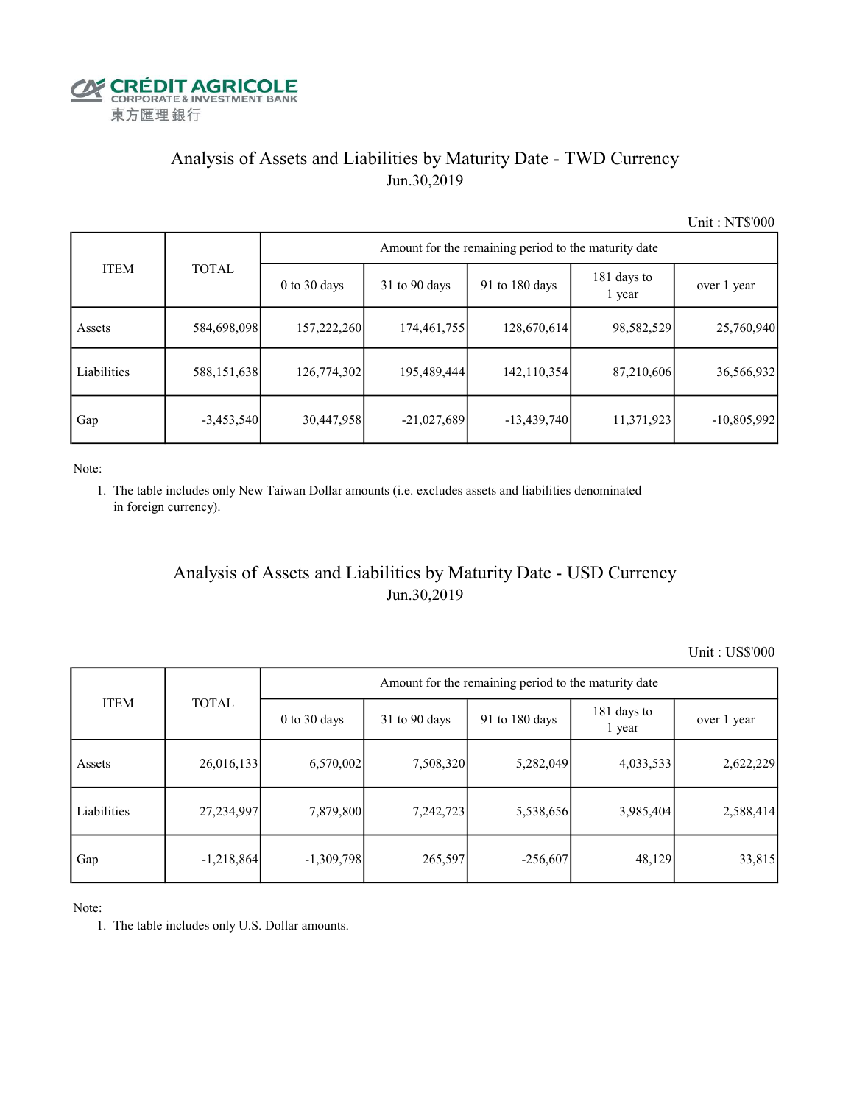

## Analysis of Assets and Liabilities by Maturity Date - TWD Currency Jun.30,2019

Unit : NT\$'000

|             |               | Amount for the remaining period to the maturity date |                 |                |                       |               |  |  |  |  |
|-------------|---------------|------------------------------------------------------|-----------------|----------------|-----------------------|---------------|--|--|--|--|
| <b>ITEM</b> | <b>TOTAL</b>  | $0$ to $30$ days                                     | $31$ to 90 days | 91 to 180 days | 181 days to<br>1 year | over 1 year   |  |  |  |  |
| Assets      | 584,698,098   | 157,222,260                                          | 174,461,755     | 128,670,614    | 98,582,529            | 25,760,940    |  |  |  |  |
| Liabilities | 588, 151, 638 | 126,774,302                                          | 195,489,444     | 142,110,354    | 87,210,606            | 36,566,932    |  |  |  |  |
| Gap         | $-3,453,540$  | 30,447,958                                           | $-21,027,689$   | $-13,439,740$  | 11,371,923            | $-10,805,992$ |  |  |  |  |

Note:

 1. The table includes only New Taiwan Dollar amounts (i.e. excludes assets and liabilities denominated in foreign currency).

## Analysis of Assets and Liabilities by Maturity Date - USD Currency Jun.30,2019

Unit : US\$'000

|             | <b>TOTAL</b> | Amount for the remaining period to the maturity date |                 |                |                       |             |  |  |
|-------------|--------------|------------------------------------------------------|-----------------|----------------|-----------------------|-------------|--|--|
| <b>ITEM</b> |              | $0$ to $30$ days                                     | $31$ to 90 days | 91 to 180 days | 181 days to<br>1 year | over 1 year |  |  |
| Assets      | 26,016,133   | 6,570,002                                            | 7,508,320       | 5,282,049      | 4,033,533             | 2,622,229   |  |  |
| Liabilities | 27,234,997   | 7,879,800                                            | 7,242,723       | 5,538,656      | 3,985,404             | 2,588,414   |  |  |
| Gap         | $-1,218,864$ | $-1,309,798$                                         | 265,597         | $-256,607$     | 48,129                | 33,815      |  |  |

Note:

1. The table includes only U.S. Dollar amounts.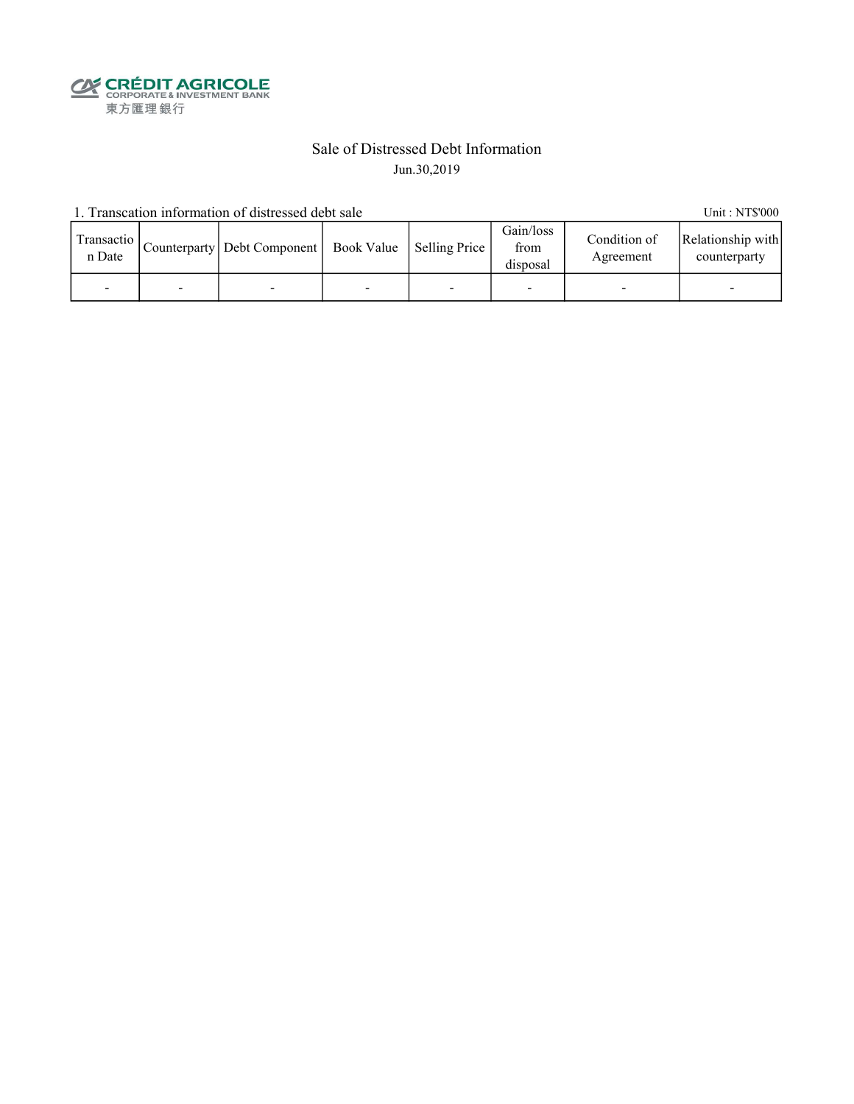**CALEDIT AGRICOLE**<br>
CORPORATE & INVESTMENT BANK<br>
東方匯理銀行

### Sale of Distressed Debt Information Jun.30,2019

1. Transcation information of distressed debt sale Unit: NT\$'000

| Transactio<br>n Date |   | Counterparty   Debt Component   Book Value   Selling Price |   | Gain/loss<br>from<br>disposal | Condition of<br>Agreement | Relationship with<br>counterparty |
|----------------------|---|------------------------------------------------------------|---|-------------------------------|---------------------------|-----------------------------------|
|                      | - |                                                            | - |                               |                           | -                                 |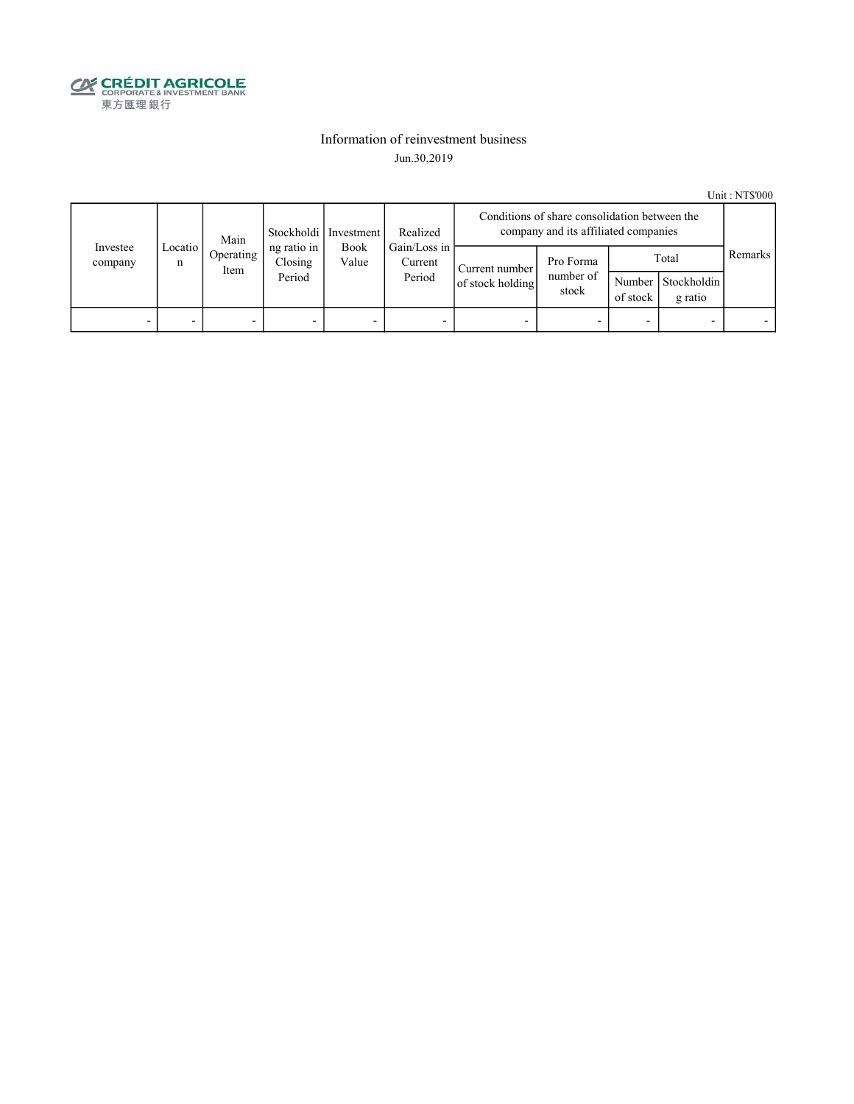

#### Information of reinvestment business Jun.30,2019

Unit : NT\$'000

|                     | Main         |                   |                                  | Stockholdi   Investment<br>Realized |                                   | Conditions of share consolidation between the<br>company and its affiliated companies |                                 |                    |                                 |         |
|---------------------|--------------|-------------------|----------------------------------|-------------------------------------|-----------------------------------|---------------------------------------------------------------------------------------|---------------------------------|--------------------|---------------------------------|---------|
| Investee<br>company | Locatio<br>n | Operating<br>Item | ng ratio in<br>Closing<br>Period | <b>Book</b><br>Value                | Gain/Loss in<br>Current<br>Period | Current number<br>of stock holding                                                    | Pro Forma<br>number of<br>stock | Number<br>of stock | Total<br>Stockholdin<br>g ratio | Remarks |
| -                   |              |                   | -                                | -                                   |                                   |                                                                                       |                                 |                    |                                 |         |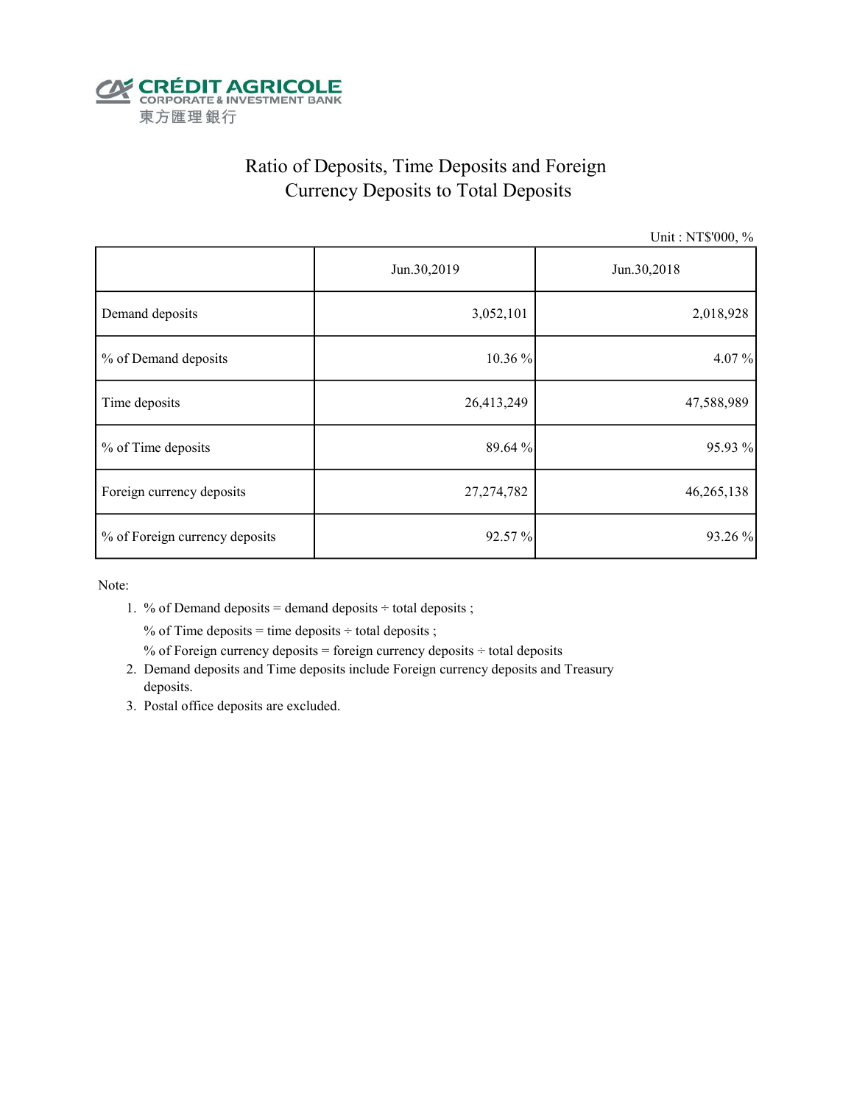

# Ratio of Deposits, Time Deposits and Foreign Currency Deposits to Total Deposits

Unit : NT\$'000, %

|                                | Jun.30,2019  | Jun.30,2018 |  |  |
|--------------------------------|--------------|-------------|--|--|
| Demand deposits                | 3,052,101    | 2,018,928   |  |  |
| % of Demand deposits           | 10.36 %      | 4.07%       |  |  |
| Time deposits                  | 26,413,249   | 47,588,989  |  |  |
| % of Time deposits             | 89.64 %      | 95.93 %     |  |  |
| Foreign currency deposits      | 27, 274, 782 | 46,265,138  |  |  |
| % of Foreign currency deposits | 92.57 %      | 93.26 %     |  |  |

Note:

1. % of Demand deposits = demand deposits  $\div$  total deposits ;

% of Time deposits = time deposits  $\div$  total deposits ;

% of Foreign currency deposits = foreign currency deposits  $\div$  total deposits

- 2. Demand deposits and Time deposits include Foreign currency deposits and Treasury deposits.
- 3. Postal office deposits are excluded.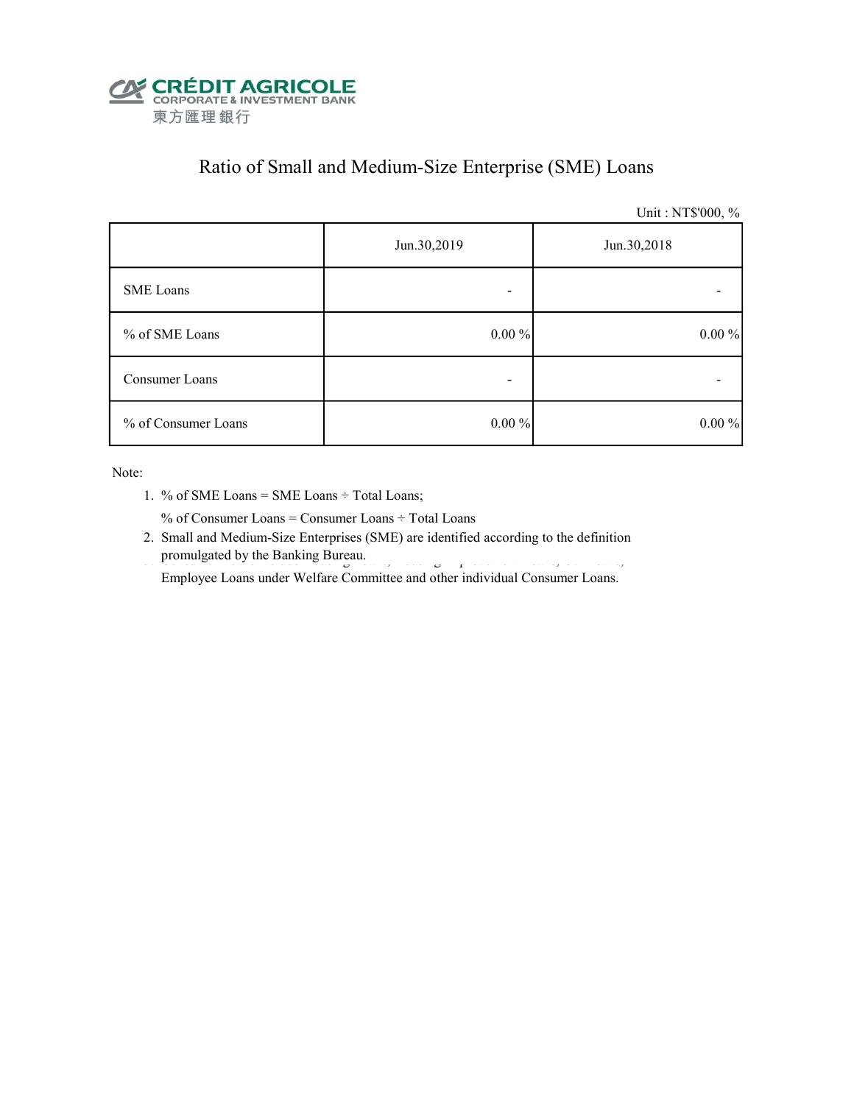

# Ratio of Small and Medium-Size Enterprise (SME) Loans

Unit : NT\$'000, %

|                     | Jun.30,2019 | Jun.30,2018 |
|---------------------|-------------|-------------|
| SME Loans           | -           |             |
| % of SME Loans      | $0.00\%$    | $0.00\%$    |
| Consumer Loans      | -           |             |
| % of Consumer Loans | $0.00\%$    | $0.00\%$    |

Note:

1. % of SME Loans = SME Loans ÷ Total Loans;

% of Consumer Loans = Consumer Loans ÷ Total Loans

 2. Small and Medium-Size Enterprises (SME) are identified according to the definition promulgated by the Banking Bureau.

Employee Loans under Welfare Committee and other individual Consumer Loans.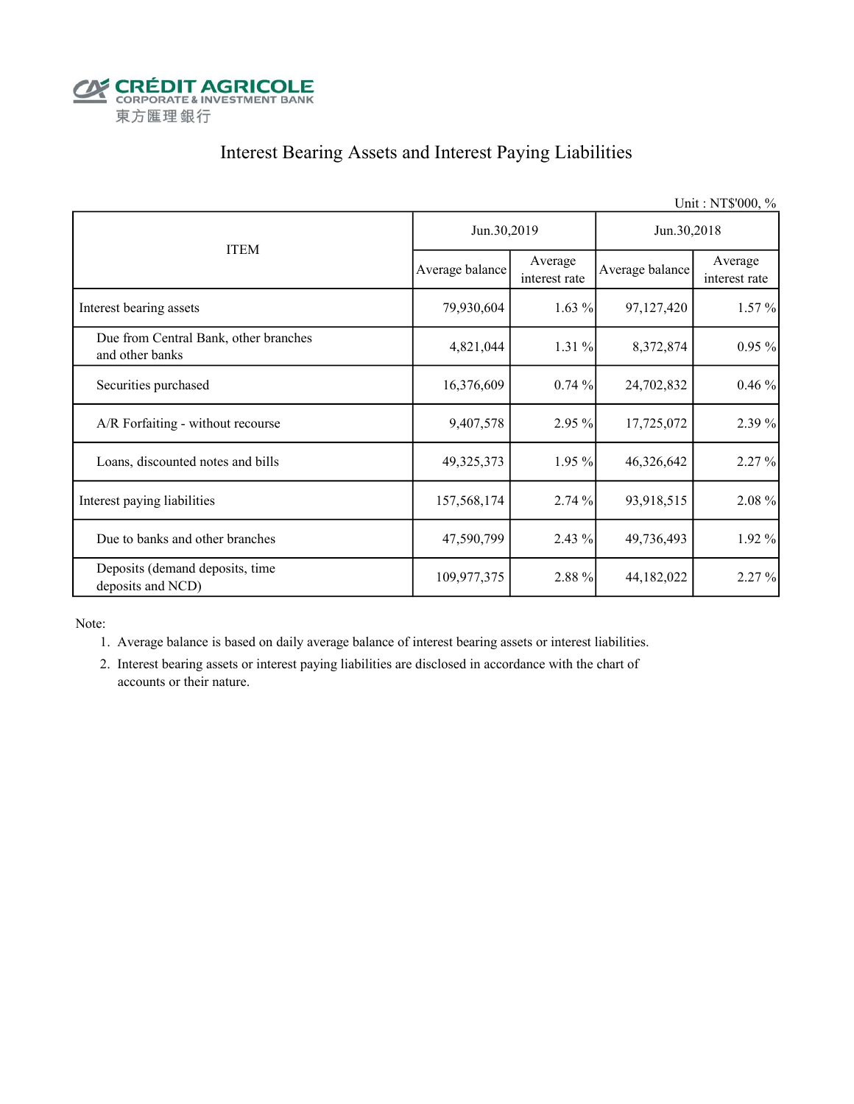

## Interest Bearing Assets and Interest Paying Liabilities

|                                                          |                 |                          |                 | Unit: NT\$'000, %        |  |
|----------------------------------------------------------|-----------------|--------------------------|-----------------|--------------------------|--|
|                                                          | Jun.30,2019     |                          | Jun.30,2018     |                          |  |
| <b>ITEM</b>                                              | Average balance | Average<br>interest rate | Average balance | Average<br>interest rate |  |
| Interest bearing assets                                  | 79,930,604      | $1.63\%$                 | 97,127,420      | $1.57\%$                 |  |
| Due from Central Bank, other branches<br>and other banks | 4,821,044       | 1.31 %                   | 8,372,874       | $0.95\%$                 |  |
| Securities purchased                                     | 16,376,609      | 0.74%                    | 24,702,832      | 0.46%                    |  |
| A/R Forfaiting - without recourse                        | 9,407,578       | 2.95 %                   | 17,725,072      | 2.39 %                   |  |
| Loans, discounted notes and bills                        | 49,325,373      | 1.95 %                   | 46,326,642      | 2.27 %                   |  |
| Interest paying liabilities                              | 157,568,174     | 2.74 %                   | 93,918,515      | 2.08 %                   |  |
| Due to banks and other branches                          | 47,590,799      | 2.43%                    | 49,736,493      | 1.92 %                   |  |
| Deposits (demand deposits, time<br>deposits and NCD)     | 109,977,375     | 2.88 %                   | 44, 182, 022    | 2.27 %                   |  |

Note:

- 1. Average balance is based on daily average balance of interest bearing assets or interest liabilities.
- 2. Interest bearing assets or interest paying liabilities are disclosed in accordance with the chart of accounts or their nature.